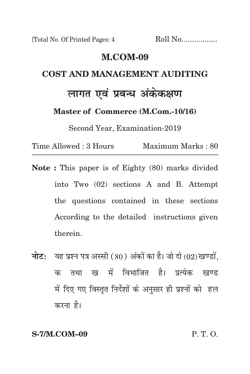[Total No. Of Printed Pages: 4 Roll No.................

## **m.com-09 cost and management Auditing लागत एवं प्रबन्ध अंकेकक्षण Master of Commerce (M.Com.-10/16)**

Second Year, Examination-2019

Time Allowed : 3 Hours Maximum Marks : 80

- **Note :** This paper is of Eighty (80) marks divided into Two (02) sections A and B. Attempt the questions contained in these sections According to the detailed instructions given therein.
- **नोट:** यह प्रश्न पत्र अस्सी (80) अंकों का है। जो दो (02) खण्डों, क तथा ख में विभाजित है। प्रत्येक खण्ड में दिए गए विस्तृत निर्देशों के अनुसार ही प्रश्नों को हल करना है।

**S-7/M.COM–09** P. T. O.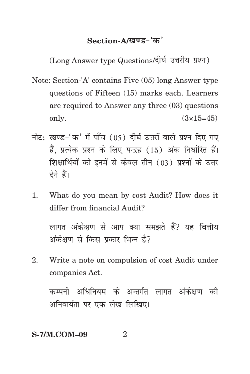## Section-A/<u>खण्ड-</u>'क'

(Long Answer type Questions/दीर्घ उत्तरीय प्रश्न)

- Note: Section-'A' contains Five (05) long Answer type questions of Fifteen (15) marks each. Learners are required to Answer any three (03) questions only.  $(3 \times 15=45)$
- नोट: खण्ड-'क' में पाँच (05) दीर्घ उत्तरों वाले प्रश्न दिए गए हैं, प्रत्येक प्रश्न के लिए पन्द्रह (15) अंक निर्धारित हैं। शिक्षार्थियों को इनमें से केवल तीन (03) प्रश्नों के उत्तर देने हैं।
- 1. What do you mean by cost Audit? How does it differ from financial Audit?

लागत अंकेक्षण से आप क्या समझते हैं? यह वित्तीय अंकेक्षण से किस प्रकार भिन्न है?

2. Write a note on compulsion of cost Audit under companies Act.

कम्पनी अधिनियम के अन्तर्गत लागत अंकेक्षण की अनिवार्यता पर एक लेख लिखिए।

## **S-7/M.COM-09** 2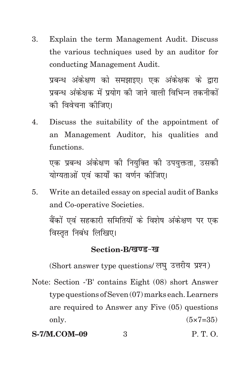3. Explain the term Management Audit. Discuss the various techniques used by an auditor for conducting Management Audit. प्रबन्ध अंकेक्षण को समझाइए। एक अंकेक्षक के द्रारा

प्रबन्ध अंकेक्षक में प्रयोग की जाने वाली विभिन्न तकनीकों को विवेचना कोजिए।

4. Discuss the suitability of the appointment of an Management Auditor, his qualities and functions.

एक प्रबन्ध अंकेक्षण को नियक्ति को उपयक्तता. उसकी योग्यताओं एवं कार्यों का वर्णन कीजिए।

5. Write an detailed essay on special audit of Banks and Co-operative Societies. बैंकों एवं सहकारी समितियों के विशेष अंकेक्षण पर एक विस्तत निबंध लिखिए।

## Section-B/*<u>Ending</u>*

(Short answer type questions/ लघु उत्तरीय प्रश्न)

- Note: Section -'B' contains Eight (08) short Answer type questions of Seven (07) marks each. Learners are required to Answer any Five (05) questions only.  $(5 \times 7 = 35)$
- **S-7/M.COM–09** 3 P. T. O.